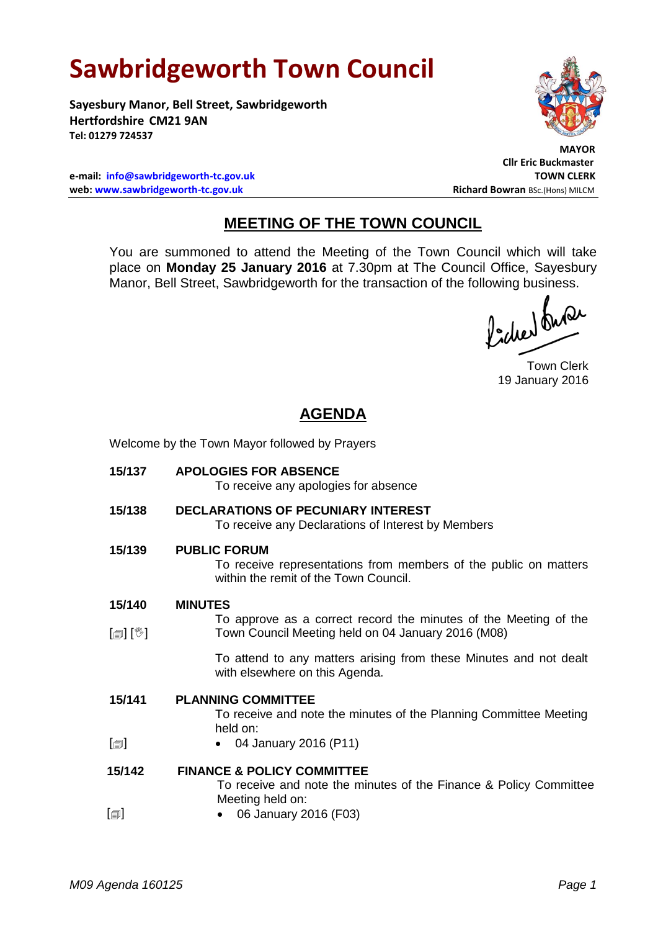# **Sawbridgeworth Town Council**

**Sayesbury Manor, Bell Street, Sawbridgeworth Hertfordshire CM21 9AN Tel: 01279 724537**



 **MAYOR**

**Cllr Eric Buckmaster**

**e-mail: [info@sawbridgeworth-tc.gov.uk](mailto:info@sawbridgeworth-tc.gov.uk) TOWN CLERK web: www.sawbridgeworth-tc.gov.uk Richard Bowran BSc.(Hons) MILCM Richard Bowran BSc.(Hons) MILCM** 

# **MEETING OF THE TOWN COUNCIL**

You are summoned to attend the Meeting of the Town Council which will take place on **Monday 25 January 2016** at 7.30pm at The Council Office, Sayesbury Manor, Bell Street, Sawbridgeworth for the transaction of the following business.<br>  $\int_0^1$ ,  $\int_0^1$ ,  $\int_0^1$ ,  $\int_0^1$ ,  $\int_0^1$ ,  $\int_0^1$ ,  $\int_0^1$ ,  $\int_0^1$ ,  $\int_0^1$ ,  $\int_0^1$ ,  $\int_0^1$ ,  $\int_0^1$ ,  $\int_0^1$ ,  $\int_0^1$ 

Town Clerk 19 January 2016

# **AGENDA**

Welcome by the Town Mayor followed by Prayers

**15/137 APOLOGIES FOR ABSENCE** To receive any apologies for absence **15/138 DECLARATIONS OF PECUNIARY INTEREST** To receive any Declarations of Interest by Members **15/139 PUBLIC FORUM** To receive representations from members of the public on matters within the remit of the Town Council. **15/140** [創] [V] **MINUTES** To approve as a correct record the minutes of the Meeting of the Town Council Meeting held on 04 January 2016 (M08) To attend to any matters arising from these Minutes and not dealt with elsewhere on this Agenda. **15/141**  $[\blacksquare]$ **PLANNING COMMITTEE** To receive and note the minutes of the Planning Committee Meeting held on: 04 January 2016 (P11) **15/142**  $\lceil$ **FINANCE & POLICY COMMITTEE** To receive and note the minutes of the Finance & Policy Committee Meeting held on: 06 January 2016 (F03)